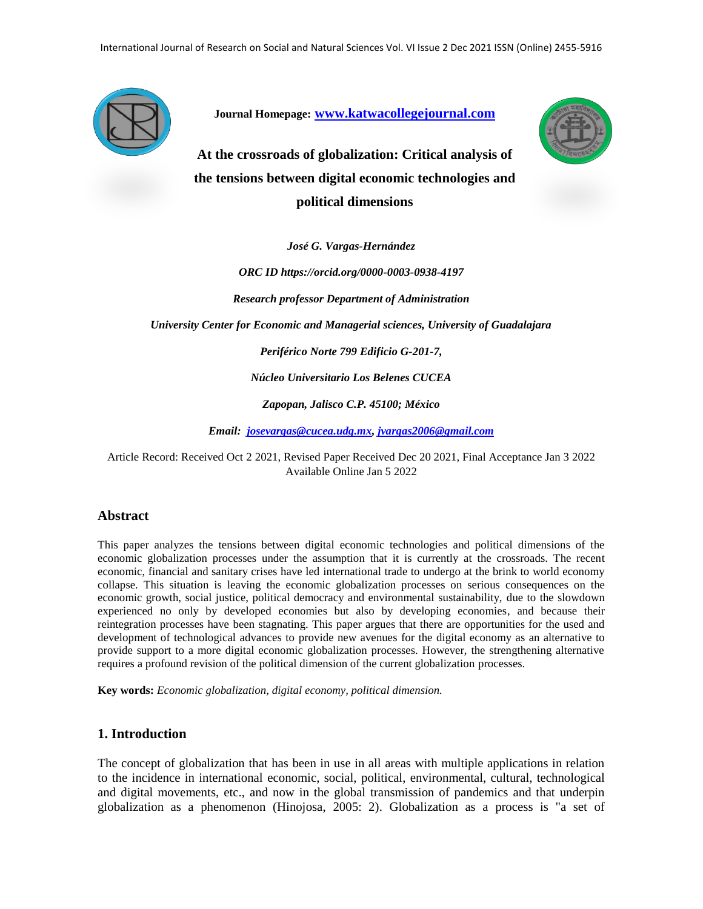

**Journal Homepage: [www.katwacollegejournal.com](http://www.katwacollegejournal.com/)**



**At the crossroads of globalization: Critical analysis of the tensions between digital economic technologies and political dimensions**

*José G. Vargas-Hernández*

*ORC ID https://orcid.org/0000-0003-0938-4197 Research professor Department of Administration*

*University Center for Economic and Managerial sciences, University of Guadalajara* 

*Periférico Norte 799 Edificio G-201-7,* 

*Núcleo Universitario Los Belenes CUCEA*

*Zapopan, Jalisco C.P. 45100; México*

*Email: [josevargas@cucea.udg.mx,](mailto:josevargas@cucea.udg.mx) [jvargas2006@gmail.com](mailto:jvargas2006@gmail.com)*

Article Record: Received Oct 2 2021, Revised Paper Received Dec 20 2021, Final Acceptance Jan 3 2022 Available Online Jan 5 2022

#### **Abstract**

This paper analyzes the tensions between digital economic technologies and political dimensions of the economic globalization processes under the assumption that it is currently at the crossroads. The recent economic, financial and sanitary crises have led international trade to undergo at the brink to world economy collapse. This situation is leaving the economic globalization processes on serious consequences on the economic growth, social justice, political democracy and environmental sustainability, due to the slowdown experienced no only by developed economies but also by developing economies, and because their reintegration processes have been stagnating. This paper argues that there are opportunities for the used and development of technological advances to provide new avenues for the digital economy as an alternative to provide support to a more digital economic globalization processes. However, the strengthening alternative requires a profound revision of the political dimension of the current globalization processes.

**Key words:** *Economic globalization, digital economy, political dimension.*

#### **1. Introduction**

The concept of globalization that has been in use in all areas with multiple applications in relation to the incidence in international economic, social, political, environmental, cultural, technological and digital movements, etc., and now in the global transmission of pandemics and that underpin globalization as a phenomenon (Hinojosa, 2005: 2). Globalization as a process is "a set of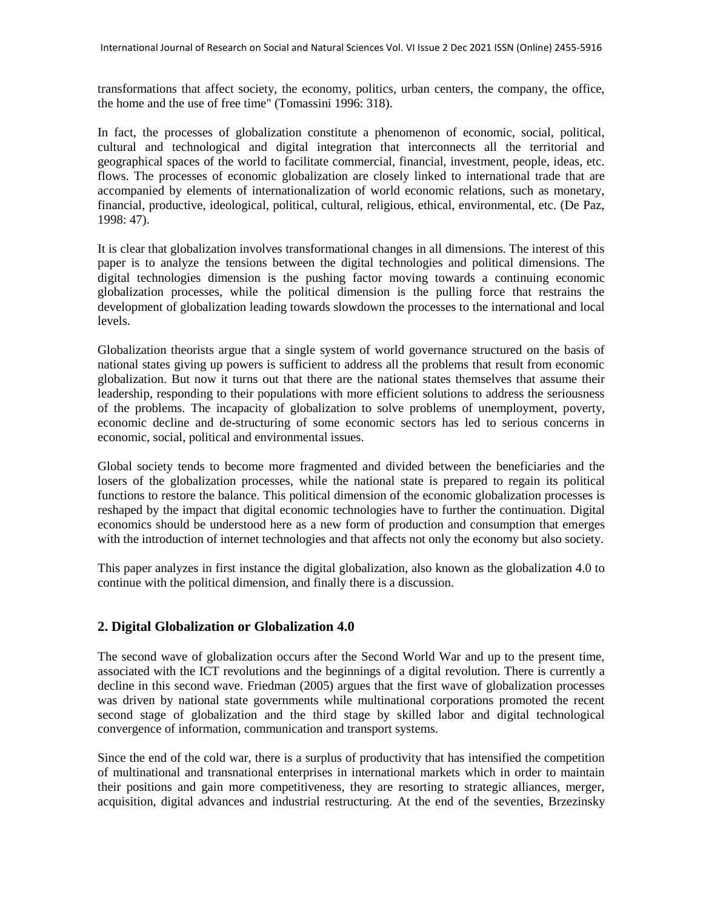transformations that affect society, the economy, politics, urban centers, the company, the office, the home and the use of free time" (Tomassini 1996: 318).

In fact, the processes of globalization constitute a phenomenon of economic, social, political, cultural and technological and digital integration that interconnects all the territorial and geographical spaces of the world to facilitate commercial, financial, investment, people, ideas, etc. flows. The processes of economic globalization are closely linked to international trade that are accompanied by elements of internationalization of world economic relations, such as monetary, financial, productive, ideological, political, cultural, religious, ethical, environmental, etc. (De Paz, 1998: 47).

It is clear that globalization involves transformational changes in all dimensions. The interest of this paper is to analyze the tensions between the digital technologies and political dimensions. The digital technologies dimension is the pushing factor moving towards a continuing economic globalization processes, while the political dimension is the pulling force that restrains the development of globalization leading towards slowdown the processes to the international and local levels.

Globalization theorists argue that a single system of world governance structured on the basis of national states giving up powers is sufficient to address all the problems that result from economic globalization. But now it turns out that there are the national states themselves that assume their leadership, responding to their populations with more efficient solutions to address the seriousness of the problems. The incapacity of globalization to solve problems of unemployment, poverty, economic decline and de-structuring of some economic sectors has led to serious concerns in economic, social, political and environmental issues.

Global society tends to become more fragmented and divided between the beneficiaries and the losers of the globalization processes, while the national state is prepared to regain its political functions to restore the balance. This political dimension of the economic globalization processes is reshaped by the impact that digital economic technologies have to further the continuation. Digital economics should be understood here as a new form of production and consumption that emerges with the introduction of internet technologies and that affects not only the economy but also society.

This paper analyzes in first instance the digital globalization, also known as the globalization 4.0 to continue with the political dimension, and finally there is a discussion.

# **2. Digital Globalization or Globalization 4.0**

The second wave of globalization occurs after the Second World War and up to the present time, associated with the ICT revolutions and the beginnings of a digital revolution. There is currently a decline in this second wave. Friedman (2005) argues that the first wave of globalization processes was driven by national state governments while multinational corporations promoted the recent second stage of globalization and the third stage by skilled labor and digital technological convergence of information, communication and transport systems.

Since the end of the cold war, there is a surplus of productivity that has intensified the competition of multinational and transnational enterprises in international markets which in order to maintain their positions and gain more competitiveness, they are resorting to strategic alliances, merger, acquisition, digital advances and industrial restructuring. At the end of the seventies, Brzezinsky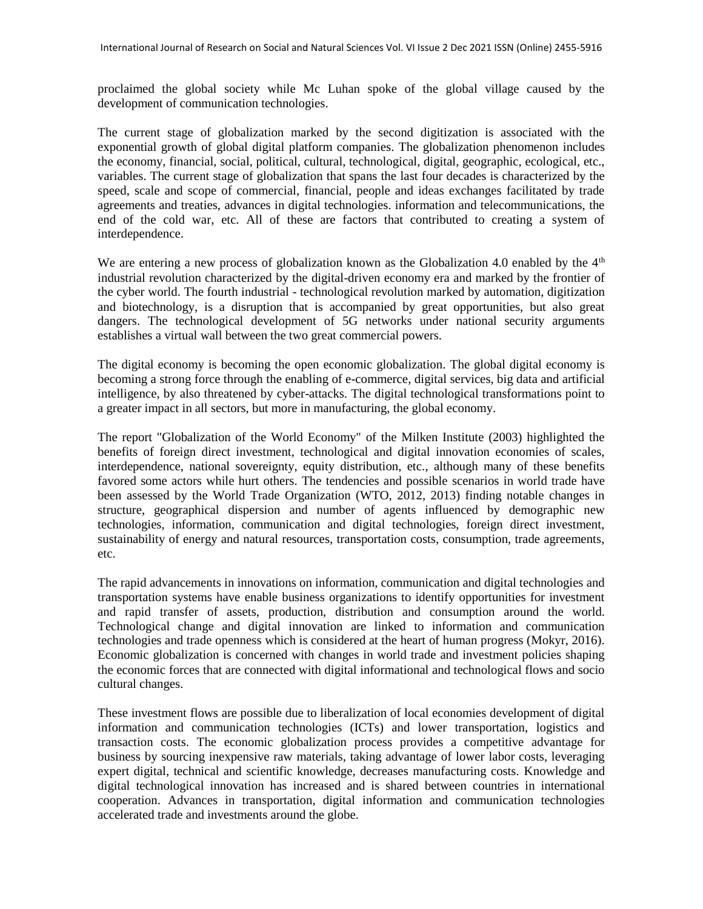proclaimed the global society while Mc Luhan spoke of the global village caused by the development of communication technologies.

The current stage of globalization marked by the second digitization is associated with the exponential growth of global digital platform companies. The globalization phenomenon includes the economy, financial, social, political, cultural, technological, digital, geographic, ecological, etc., variables. The current stage of globalization that spans the last four decades is characterized by the speed, scale and scope of commercial, financial, people and ideas exchanges facilitated by trade agreements and treaties, advances in digital technologies. information and telecommunications, the end of the cold war, etc. All of these are factors that contributed to creating a system of interdependence.

We are entering a new process of globalization known as the Globalization 4.0 enabled by the  $4<sup>th</sup>$ industrial revolution characterized by the digital-driven economy era and marked by the frontier of the cyber world. The fourth industrial - technological revolution marked by automation, digitization and biotechnology, is a disruption that is accompanied by great opportunities, but also great dangers. The technological development of 5G networks under national security arguments establishes a virtual wall between the two great commercial powers.

The digital economy is becoming the open economic globalization. The global digital economy is becoming a strong force through the enabling of e-commerce, digital services, big data and artificial intelligence, by also threatened by cyber-attacks. The digital technological transformations point to a greater impact in all sectors, but more in manufacturing, the global economy.

The report "Globalization of the World Economy" of the Milken Institute (2003) highlighted the benefits of foreign direct investment, technological and digital innovation economies of scales, interdependence, national sovereignty, equity distribution, etc., although many of these benefits favored some actors while hurt others. The tendencies and possible scenarios in world trade have been assessed by the World Trade Organization (WTO, 2012, 2013) finding notable changes in structure, geographical dispersion and number of agents influenced by demographic new technologies, information, communication and digital technologies, foreign direct investment, sustainability of energy and natural resources, transportation costs, consumption, trade agreements, etc.

The rapid advancements in innovations on information, communication and digital technologies and transportation systems have enable business organizations to identify opportunities for investment and rapid transfer of assets, production, distribution and consumption around the world. Technological change and digital innovation are linked to information and communication technologies and trade openness which is considered at the heart of human progress (Mokyr, 2016). Economic globalization is concerned with changes in world trade and investment policies shaping the economic forces that are connected with digital informational and technological flows and socio cultural changes.

These investment flows are possible due to liberalization of local economies development of digital information and communication technologies (ICTs) and lower transportation, logistics and transaction costs. The economic globalization process provides a competitive advantage for business by sourcing inexpensive raw materials, taking advantage of lower labor costs, leveraging expert digital, technical and scientific knowledge, decreases manufacturing costs. Knowledge and digital technological innovation has increased and is shared between countries in international cooperation. Advances in transportation, digital information and communication technologies accelerated trade and investments around the globe.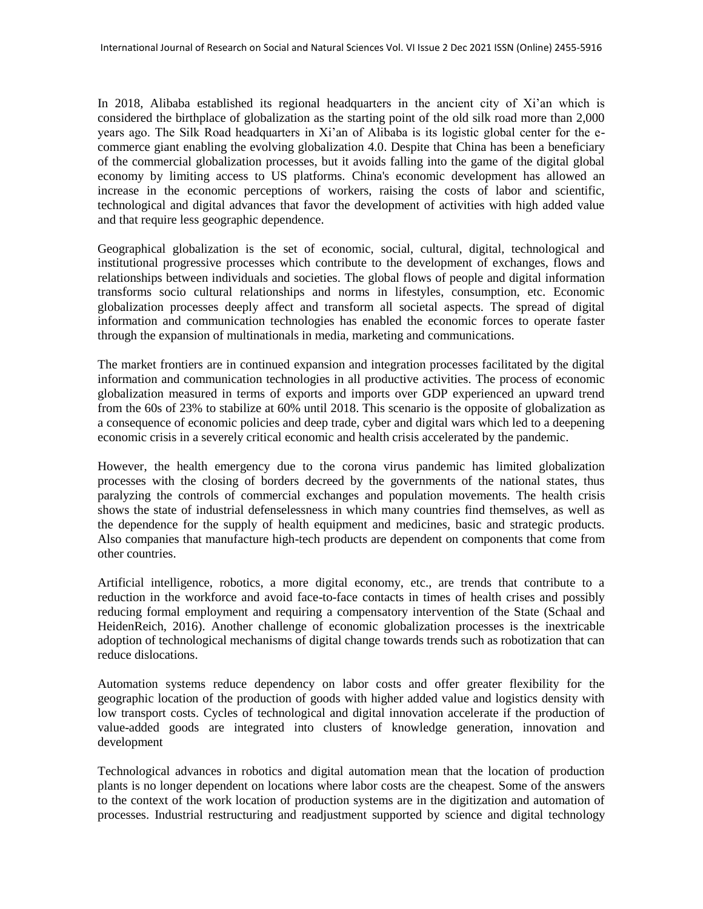In 2018, Alibaba established its regional headquarters in the ancient city of Xi'an which is considered the birthplace of globalization as the starting point of the old silk road more than 2,000 years ago. The Silk Road headquarters in Xi'an of Alibaba is its logistic global center for the ecommerce giant enabling the evolving globalization 4.0. Despite that China has been a beneficiary of the commercial globalization processes, but it avoids falling into the game of the digital global economy by limiting access to US platforms. China's economic development has allowed an increase in the economic perceptions of workers, raising the costs of labor and scientific, technological and digital advances that favor the development of activities with high added value and that require less geographic dependence.

Geographical globalization is the set of economic, social, cultural, digital, technological and institutional progressive processes which contribute to the development of exchanges, flows and relationships between individuals and societies. The global flows of people and digital information transforms socio cultural relationships and norms in lifestyles, consumption, etc. Economic globalization processes deeply affect and transform all societal aspects. The spread of digital information and communication technologies has enabled the economic forces to operate faster through the expansion of multinationals in media, marketing and communications.

The market frontiers are in continued expansion and integration processes facilitated by the digital information and communication technologies in all productive activities. The process of economic globalization measured in terms of exports and imports over GDP experienced an upward trend from the 60s of 23% to stabilize at 60% until 2018. This scenario is the opposite of globalization as a consequence of economic policies and deep trade, cyber and digital wars which led to a deepening economic crisis in a severely critical economic and health crisis accelerated by the pandemic.

However, the health emergency due to the corona virus pandemic has limited globalization processes with the closing of borders decreed by the governments of the national states, thus paralyzing the controls of commercial exchanges and population movements. The health crisis shows the state of industrial defenselessness in which many countries find themselves, as well as the dependence for the supply of health equipment and medicines, basic and strategic products. Also companies that manufacture high-tech products are dependent on components that come from other countries.

Artificial intelligence, robotics, a more digital economy, etc., are trends that contribute to a reduction in the workforce and avoid face-to-face contacts in times of health crises and possibly reducing formal employment and requiring a compensatory intervention of the State (Schaal and HeidenReich, 2016). Another challenge of economic globalization processes is the inextricable adoption of technological mechanisms of digital change towards trends such as robotization that can reduce dislocations.

Automation systems reduce dependency on labor costs and offer greater flexibility for the geographic location of the production of goods with higher added value and logistics density with low transport costs. Cycles of technological and digital innovation accelerate if the production of value-added goods are integrated into clusters of knowledge generation, innovation and development

Technological advances in robotics and digital automation mean that the location of production plants is no longer dependent on locations where labor costs are the cheapest. Some of the answers to the context of the work location of production systems are in the digitization and automation of processes. Industrial restructuring and readjustment supported by science and digital technology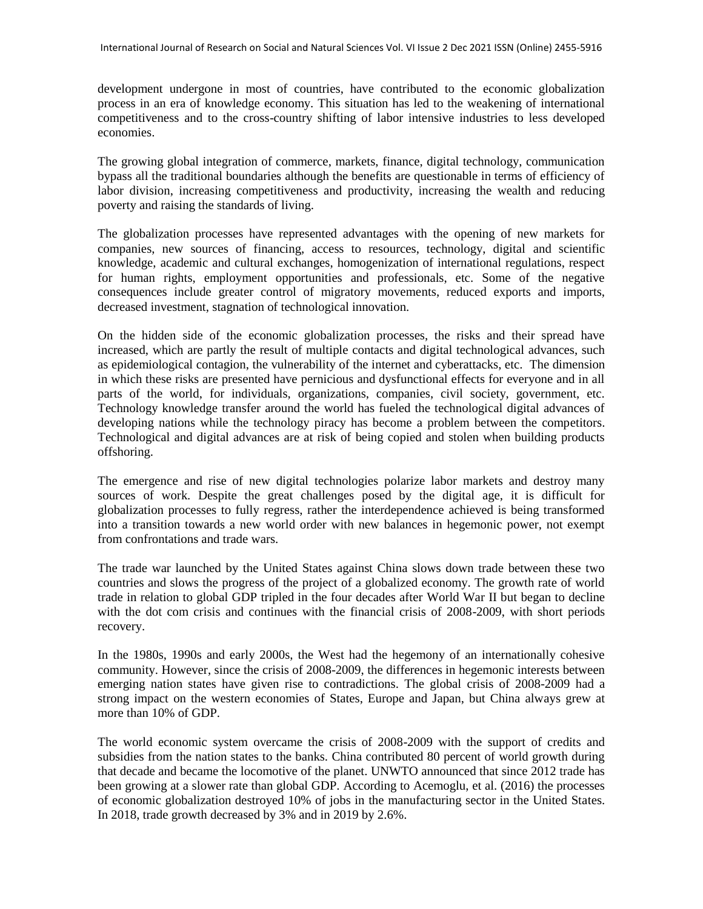development undergone in most of countries, have contributed to the economic globalization process in an era of knowledge economy. This situation has led to the weakening of international competitiveness and to the cross-country shifting of labor intensive industries to less developed economies.

The growing global integration of commerce, markets, finance, digital technology, communication bypass all the traditional boundaries although the benefits are questionable in terms of efficiency of labor division, increasing competitiveness and productivity, increasing the wealth and reducing poverty and raising the standards of living.

The globalization processes have represented advantages with the opening of new markets for companies, new sources of financing, access to resources, technology, digital and scientific knowledge, academic and cultural exchanges, homogenization of international regulations, respect for human rights, employment opportunities and professionals, etc. Some of the negative consequences include greater control of migratory movements, reduced exports and imports, decreased investment, stagnation of technological innovation.

On the hidden side of the economic globalization processes, the risks and their spread have increased, which are partly the result of multiple contacts and digital technological advances, such as epidemiological contagion, the vulnerability of the internet and cyberattacks, etc. The dimension in which these risks are presented have pernicious and dysfunctional effects for everyone and in all parts of the world, for individuals, organizations, companies, civil society, government, etc. Technology knowledge transfer around the world has fueled the technological digital advances of developing nations while the technology piracy has become a problem between the competitors. Technological and digital advances are at risk of being copied and stolen when building products offshoring.

The emergence and rise of new digital technologies polarize labor markets and destroy many sources of work. Despite the great challenges posed by the digital age, it is difficult for globalization processes to fully regress, rather the interdependence achieved is being transformed into a transition towards a new world order with new balances in hegemonic power, not exempt from confrontations and trade wars.

The trade war launched by the United States against China slows down trade between these two countries and slows the progress of the project of a globalized economy. The growth rate of world trade in relation to global GDP tripled in the four decades after World War II but began to decline with the dot com crisis and continues with the financial crisis of 2008-2009, with short periods recovery.

In the 1980s, 1990s and early 2000s, the West had the hegemony of an internationally cohesive community. However, since the crisis of 2008-2009, the differences in hegemonic interests between emerging nation states have given rise to contradictions. The global crisis of 2008-2009 had a strong impact on the western economies of States, Europe and Japan, but China always grew at more than 10% of GDP.

The world economic system overcame the crisis of 2008-2009 with the support of credits and subsidies from the nation states to the banks. China contributed 80 percent of world growth during that decade and became the locomotive of the planet. UNWTO announced that since 2012 trade has been growing at a slower rate than global GDP. According to Acemoglu, et al. (2016) the processes of economic globalization destroyed 10% of jobs in the manufacturing sector in the United States. In 2018, trade growth decreased by 3% and in 2019 by 2.6%.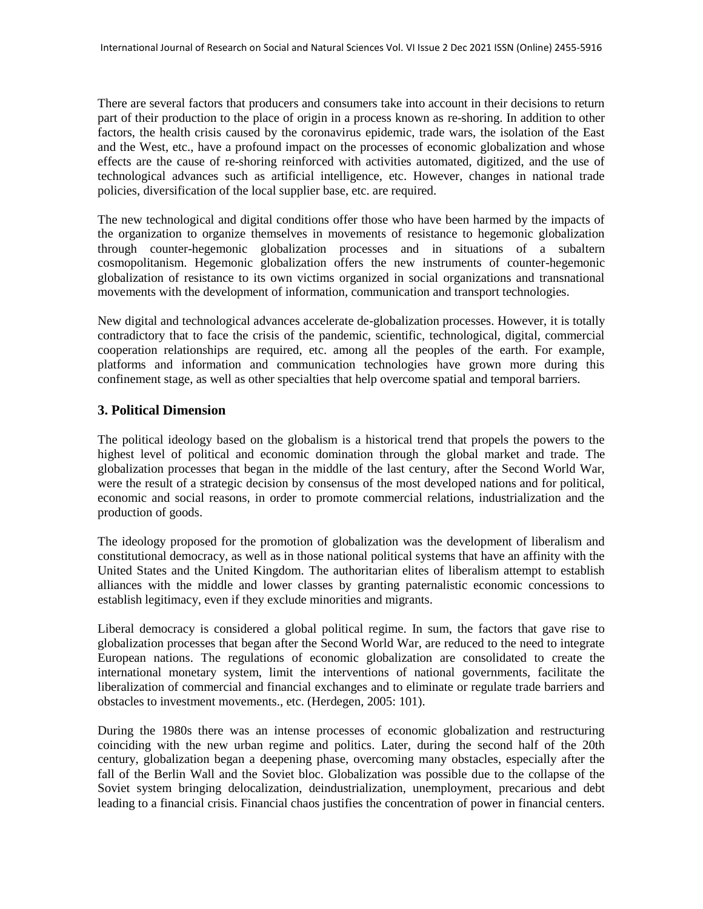There are several factors that producers and consumers take into account in their decisions to return part of their production to the place of origin in a process known as re-shoring. In addition to other factors, the health crisis caused by the coronavirus epidemic, trade wars, the isolation of the East and the West, etc., have a profound impact on the processes of economic globalization and whose effects are the cause of re-shoring reinforced with activities automated, digitized, and the use of technological advances such as artificial intelligence, etc. However, changes in national trade policies, diversification of the local supplier base, etc. are required.

The new technological and digital conditions offer those who have been harmed by the impacts of the organization to organize themselves in movements of resistance to hegemonic globalization through counter-hegemonic globalization processes and in situations of a subaltern cosmopolitanism. Hegemonic globalization offers the new instruments of counter-hegemonic globalization of resistance to its own victims organized in social organizations and transnational movements with the development of information, communication and transport technologies.

New digital and technological advances accelerate de-globalization processes. However, it is totally contradictory that to face the crisis of the pandemic, scientific, technological, digital, commercial cooperation relationships are required, etc. among all the peoples of the earth. For example, platforms and information and communication technologies have grown more during this confinement stage, as well as other specialties that help overcome spatial and temporal barriers.

# **3. Political Dimension**

The political ideology based on the globalism is a historical trend that propels the powers to the highest level of political and economic domination through the global market and trade. The globalization processes that began in the middle of the last century, after the Second World War, were the result of a strategic decision by consensus of the most developed nations and for political, economic and social reasons, in order to promote commercial relations, industrialization and the production of goods.

The ideology proposed for the promotion of globalization was the development of liberalism and constitutional democracy, as well as in those national political systems that have an affinity with the United States and the United Kingdom. The authoritarian elites of liberalism attempt to establish alliances with the middle and lower classes by granting paternalistic economic concessions to establish legitimacy, even if they exclude minorities and migrants.

Liberal democracy is considered a global political regime. In sum, the factors that gave rise to globalization processes that began after the Second World War, are reduced to the need to integrate European nations. The regulations of economic globalization are consolidated to create the international monetary system, limit the interventions of national governments, facilitate the liberalization of commercial and financial exchanges and to eliminate or regulate trade barriers and obstacles to investment movements., etc. (Herdegen, 2005: 101).

During the 1980s there was an intense processes of economic globalization and restructuring coinciding with the new urban regime and politics. Later, during the second half of the 20th century, globalization began a deepening phase, overcoming many obstacles, especially after the fall of the Berlin Wall and the Soviet bloc. Globalization was possible due to the collapse of the Soviet system bringing delocalization, deindustrialization, unemployment, precarious and debt leading to a financial crisis. Financial chaos justifies the concentration of power in financial centers.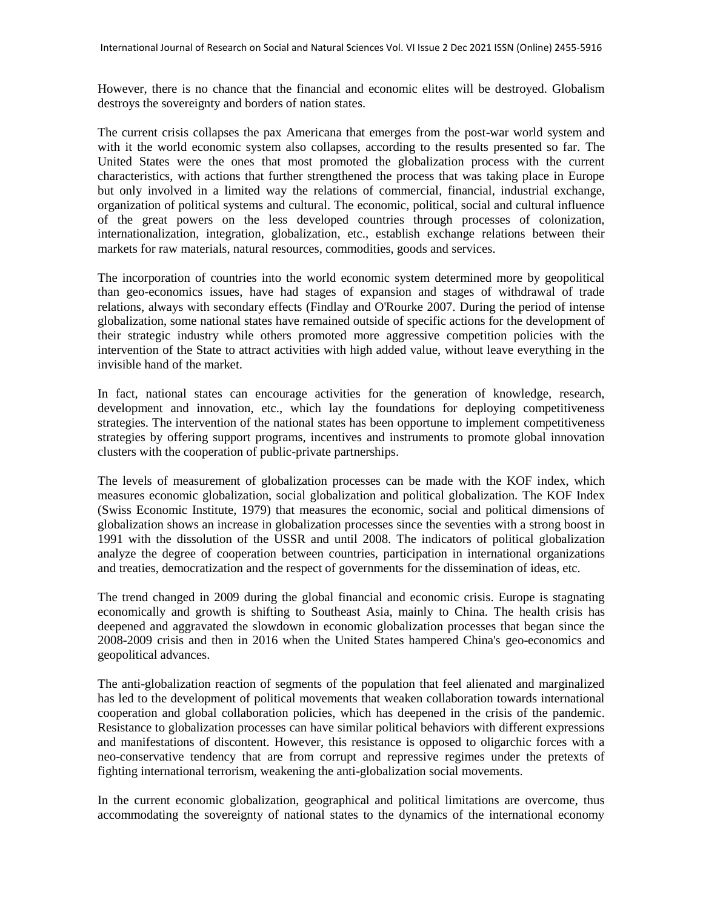However, there is no chance that the financial and economic elites will be destroyed. Globalism destroys the sovereignty and borders of nation states.

The current crisis collapses the pax Americana that emerges from the post-war world system and with it the world economic system also collapses, according to the results presented so far. The United States were the ones that most promoted the globalization process with the current characteristics, with actions that further strengthened the process that was taking place in Europe but only involved in a limited way the relations of commercial, financial, industrial exchange, organization of political systems and cultural. The economic, political, social and cultural influence of the great powers on the less developed countries through processes of colonization, internationalization, integration, globalization, etc., establish exchange relations between their markets for raw materials, natural resources, commodities, goods and services.

The incorporation of countries into the world economic system determined more by geopolitical than geo-economics issues, have had stages of expansion and stages of withdrawal of trade relations, always with secondary effects (Findlay and O'Rourke 2007. During the period of intense globalization, some national states have remained outside of specific actions for the development of their strategic industry while others promoted more aggressive competition policies with the intervention of the State to attract activities with high added value, without leave everything in the invisible hand of the market.

In fact, national states can encourage activities for the generation of knowledge, research, development and innovation, etc., which lay the foundations for deploying competitiveness strategies. The intervention of the national states has been opportune to implement competitiveness strategies by offering support programs, incentives and instruments to promote global innovation clusters with the cooperation of public-private partnerships.

The levels of measurement of globalization processes can be made with the KOF index, which measures economic globalization, social globalization and political globalization. The KOF Index (Swiss Economic Institute, 1979) that measures the economic, social and political dimensions of globalization shows an increase in globalization processes since the seventies with a strong boost in 1991 with the dissolution of the USSR and until 2008. The indicators of political globalization analyze the degree of cooperation between countries, participation in international organizations and treaties, democratization and the respect of governments for the dissemination of ideas, etc.

The trend changed in 2009 during the global financial and economic crisis. Europe is stagnating economically and growth is shifting to Southeast Asia, mainly to China. The health crisis has deepened and aggravated the slowdown in economic globalization processes that began since the 2008-2009 crisis and then in 2016 when the United States hampered China's geo-economics and geopolitical advances.

The anti-globalization reaction of segments of the population that feel alienated and marginalized has led to the development of political movements that weaken collaboration towards international cooperation and global collaboration policies, which has deepened in the crisis of the pandemic. Resistance to globalization processes can have similar political behaviors with different expressions and manifestations of discontent. However, this resistance is opposed to oligarchic forces with a neo-conservative tendency that are from corrupt and repressive regimes under the pretexts of fighting international terrorism, weakening the anti-globalization social movements.

In the current economic globalization, geographical and political limitations are overcome, thus accommodating the sovereignty of national states to the dynamics of the international economy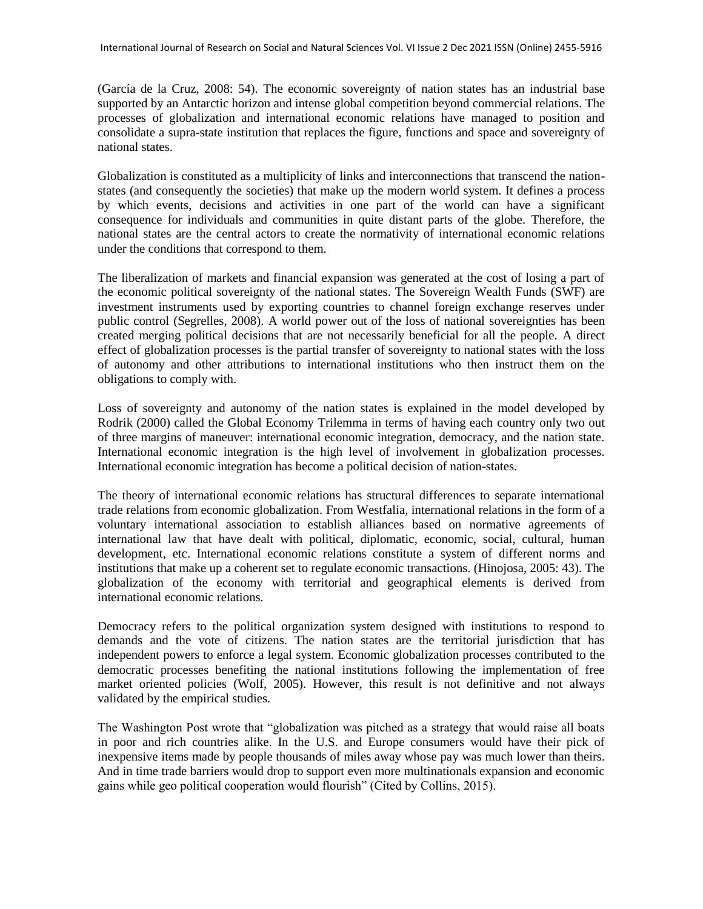(García de la Cruz, 2008: 54). The economic sovereignty of nation states has an industrial base supported by an Antarctic horizon and intense global competition beyond commercial relations. The processes of globalization and international economic relations have managed to position and consolidate a supra-state institution that replaces the figure, functions and space and sovereignty of national states.

Globalization is constituted as a multiplicity of links and interconnections that transcend the nationstates (and consequently the societies) that make up the modern world system. It defines a process by which events, decisions and activities in one part of the world can have a significant consequence for individuals and communities in quite distant parts of the globe. Therefore, the national states are the central actors to create the normativity of international economic relations under the conditions that correspond to them.

The liberalization of markets and financial expansion was generated at the cost of losing a part of the economic political sovereignty of the national states. The Sovereign Wealth Funds (SWF) are investment instruments used by exporting countries to channel foreign exchange reserves under public control (Segrelles, 2008). A world power out of the loss of national sovereignties has been created merging political decisions that are not necessarily beneficial for all the people. A direct effect of globalization processes is the partial transfer of sovereignty to national states with the loss of autonomy and other attributions to international institutions who then instruct them on the obligations to comply with.

Loss of sovereignty and autonomy of the nation states is explained in the model developed by Rodrik (2000) called the Global Economy Trilemma in terms of having each country only two out of three margins of maneuver: international economic integration, democracy, and the nation state. International economic integration is the high level of involvement in globalization processes. International economic integration has become a political decision of nation-states.

The theory of international economic relations has structural differences to separate international trade relations from economic globalization. From Westfalia, international relations in the form of a voluntary international association to establish alliances based on normative agreements of international law that have dealt with political, diplomatic, economic, social, cultural, human development, etc. International economic relations constitute a system of different norms and institutions that make up a coherent set to regulate economic transactions. (Hinojosa, 2005: 43). The globalization of the economy with territorial and geographical elements is derived from international economic relations.

Democracy refers to the political organization system designed with institutions to respond to demands and the vote of citizens. The nation states are the territorial jurisdiction that has independent powers to enforce a legal system. Economic globalization processes contributed to the democratic processes benefiting the national institutions following the implementation of free market oriented policies (Wolf, 2005). However, this result is not definitive and not always validated by the empirical studies.

The Washington Post wrote that "globalization was pitched as a strategy that would raise all boats in poor and rich countries alike. In the U.S. and Europe consumers would have their pick of inexpensive items made by people thousands of miles away whose pay was much lower than theirs. And in time trade barriers would drop to support even more multinationals expansion and economic gains while geo political cooperation would flourish" (Cited by Collins, 2015).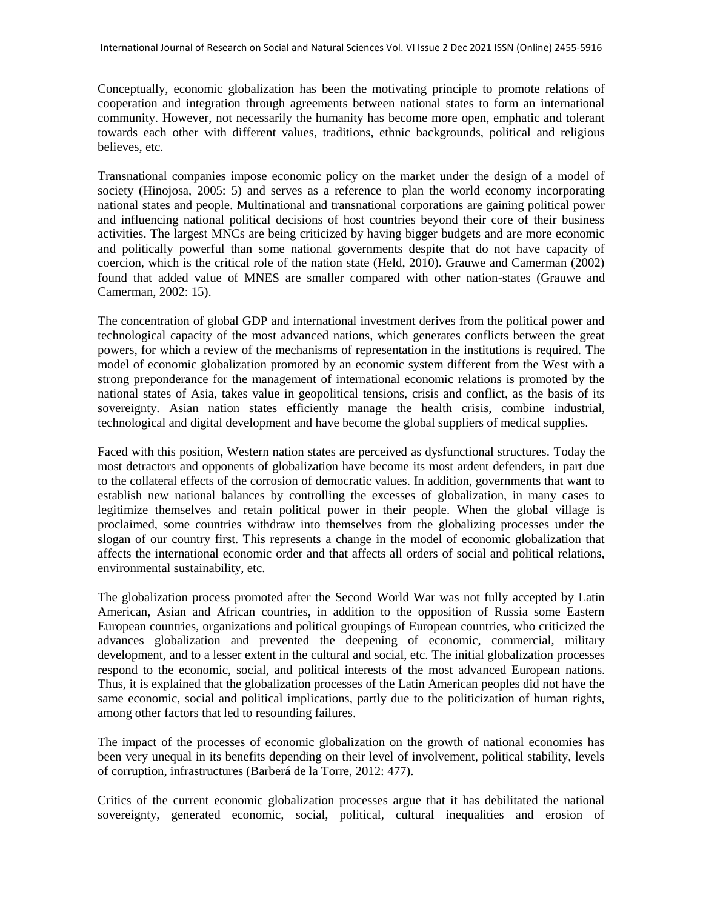Conceptually, economic globalization has been the motivating principle to promote relations of cooperation and integration through agreements between national states to form an international community. However, not necessarily the humanity has become more open, emphatic and tolerant towards each other with different values, traditions, ethnic backgrounds, political and religious believes, etc.

Transnational companies impose economic policy on the market under the design of a model of society (Hinojosa, 2005: 5) and serves as a reference to plan the world economy incorporating national states and people. Multinational and transnational corporations are gaining political power and influencing national political decisions of host countries beyond their core of their business activities. The largest MNCs are being criticized by having bigger budgets and are more economic and politically powerful than some national governments despite that do not have capacity of coercion, which is the critical role of the nation state (Held, 2010). Grauwe and Camerman (2002) found that added value of MNES are smaller compared with other nation-states (Grauwe and Camerman, 2002: 15).

The concentration of global GDP and international investment derives from the political power and technological capacity of the most advanced nations, which generates conflicts between the great powers, for which a review of the mechanisms of representation in the institutions is required. The model of economic globalization promoted by an economic system different from the West with a strong preponderance for the management of international economic relations is promoted by the national states of Asia, takes value in geopolitical tensions, crisis and conflict, as the basis of its sovereignty. Asian nation states efficiently manage the health crisis, combine industrial, technological and digital development and have become the global suppliers of medical supplies.

Faced with this position, Western nation states are perceived as dysfunctional structures. Today the most detractors and opponents of globalization have become its most ardent defenders, in part due to the collateral effects of the corrosion of democratic values. In addition, governments that want to establish new national balances by controlling the excesses of globalization, in many cases to legitimize themselves and retain political power in their people. When the global village is proclaimed, some countries withdraw into themselves from the globalizing processes under the slogan of our country first. This represents a change in the model of economic globalization that affects the international economic order and that affects all orders of social and political relations, environmental sustainability, etc.

The globalization process promoted after the Second World War was not fully accepted by Latin American, Asian and African countries, in addition to the opposition of Russia some Eastern European countries, organizations and political groupings of European countries, who criticized the advances globalization and prevented the deepening of economic, commercial, military development, and to a lesser extent in the cultural and social, etc. The initial globalization processes respond to the economic, social, and political interests of the most advanced European nations. Thus, it is explained that the globalization processes of the Latin American peoples did not have the same economic, social and political implications, partly due to the politicization of human rights, among other factors that led to resounding failures.

The impact of the processes of economic globalization on the growth of national economies has been very unequal in its benefits depending on their level of involvement, political stability, levels of corruption, infrastructures (Barberá de la Torre, 2012: 477).

Critics of the current economic globalization processes argue that it has debilitated the national sovereignty, generated economic, social, political, cultural inequalities and erosion of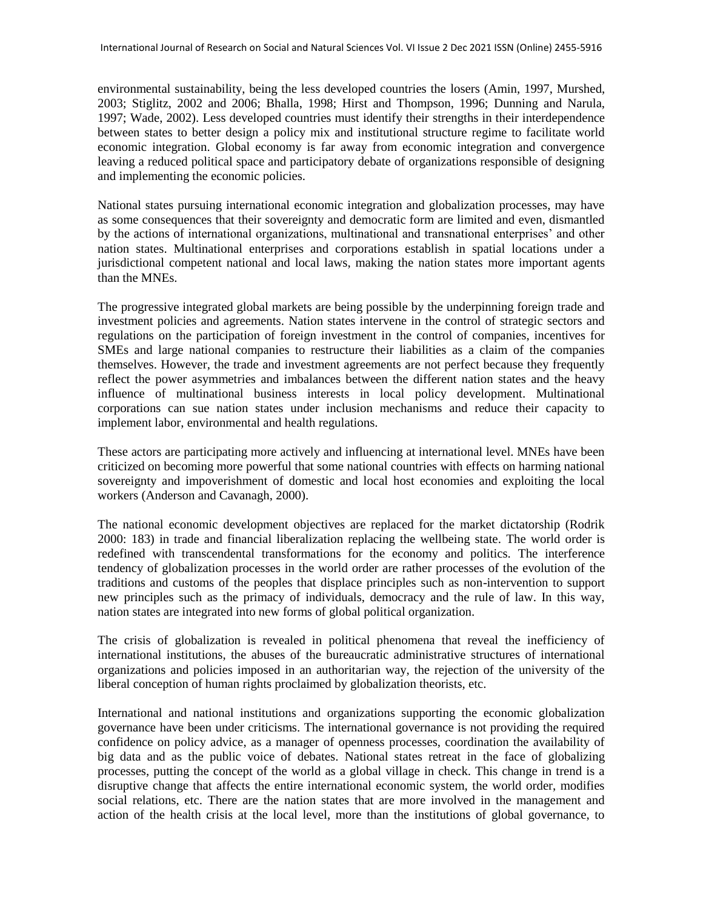environmental sustainability, being the less developed countries the losers (Amin, 1997, Murshed, 2003; Stiglitz, 2002 and 2006; Bhalla, 1998; Hirst and Thompson, 1996; Dunning and Narula, 1997; Wade, 2002). Less developed countries must identify their strengths in their interdependence between states to better design a policy mix and institutional structure regime to facilitate world economic integration. Global economy is far away from economic integration and convergence leaving a reduced political space and participatory debate of organizations responsible of designing and implementing the economic policies.

National states pursuing international economic integration and globalization processes, may have as some consequences that their sovereignty and democratic form are limited and even, dismantled by the actions of international organizations, multinational and transnational enterprises' and other nation states. Multinational enterprises and corporations establish in spatial locations under a jurisdictional competent national and local laws, making the nation states more important agents than the MNEs.

The progressive integrated global markets are being possible by the underpinning foreign trade and investment policies and agreements. Nation states intervene in the control of strategic sectors and regulations on the participation of foreign investment in the control of companies, incentives for SMEs and large national companies to restructure their liabilities as a claim of the companies themselves. However, the trade and investment agreements are not perfect because they frequently reflect the power asymmetries and imbalances between the different nation states and the heavy influence of multinational business interests in local policy development. Multinational corporations can sue nation states under inclusion mechanisms and reduce their capacity to implement labor, environmental and health regulations.

These actors are participating more actively and influencing at international level. MNEs have been criticized on becoming more powerful that some national countries with effects on harming national sovereignty and impoverishment of domestic and local host economies and exploiting the local workers (Anderson and Cavanagh, 2000).

The national economic development objectives are replaced for the market dictatorship (Rodrik 2000: 183) in trade and financial liberalization replacing the wellbeing state. The world order is redefined with transcendental transformations for the economy and politics. The interference tendency of globalization processes in the world order are rather processes of the evolution of the traditions and customs of the peoples that displace principles such as non-intervention to support new principles such as the primacy of individuals, democracy and the rule of law. In this way, nation states are integrated into new forms of global political organization.

The crisis of globalization is revealed in political phenomena that reveal the inefficiency of international institutions, the abuses of the bureaucratic administrative structures of international organizations and policies imposed in an authoritarian way, the rejection of the university of the liberal conception of human rights proclaimed by globalization theorists, etc.

International and national institutions and organizations supporting the economic globalization governance have been under criticisms. The international governance is not providing the required confidence on policy advice, as a manager of openness processes, coordination the availability of big data and as the public voice of debates. National states retreat in the face of globalizing processes, putting the concept of the world as a global village in check. This change in trend is a disruptive change that affects the entire international economic system, the world order, modifies social relations, etc. There are the nation states that are more involved in the management and action of the health crisis at the local level, more than the institutions of global governance, to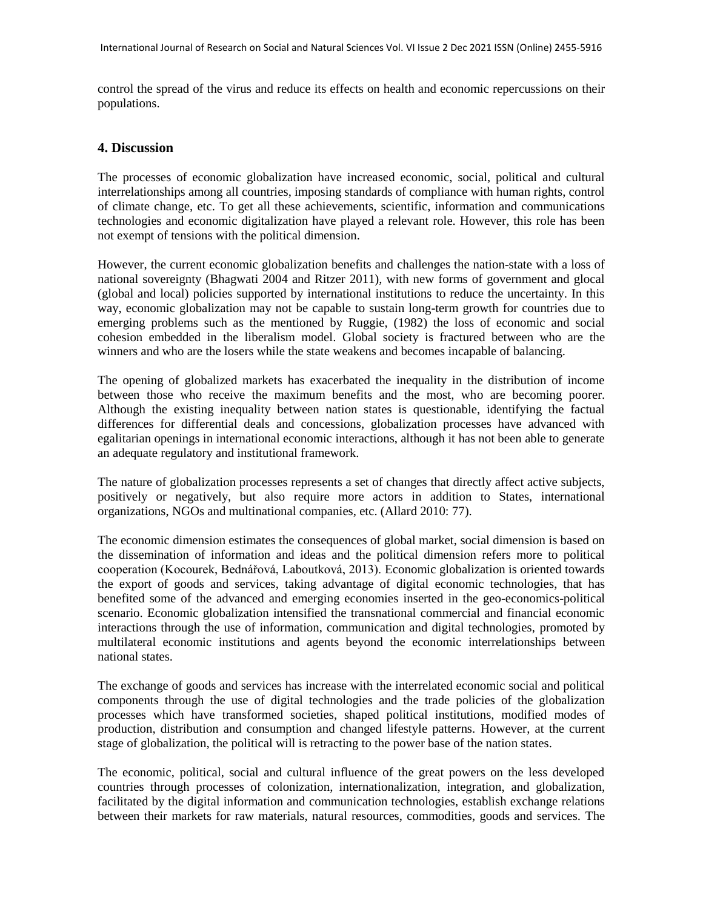control the spread of the virus and reduce its effects on health and economic repercussions on their populations.

#### **4. Discussion**

The processes of economic globalization have increased economic, social, political and cultural interrelationships among all countries, imposing standards of compliance with human rights, control of climate change, etc. To get all these achievements, scientific, information and communications technologies and economic digitalization have played a relevant role. However, this role has been not exempt of tensions with the political dimension.

However, the current economic globalization benefits and challenges the nation-state with a loss of national sovereignty (Bhagwati 2004 and Ritzer 2011), with new forms of government and glocal (global and local) policies supported by international institutions to reduce the uncertainty. In this way, economic globalization may not be capable to sustain long-term growth for countries due to emerging problems such as the mentioned by Ruggie, (1982) the loss of economic and social cohesion embedded in the liberalism model. Global society is fractured between who are the winners and who are the losers while the state weakens and becomes incapable of balancing.

The opening of globalized markets has exacerbated the inequality in the distribution of income between those who receive the maximum benefits and the most, who are becoming poorer. Although the existing inequality between nation states is questionable, identifying the factual differences for differential deals and concessions, globalization processes have advanced with egalitarian openings in international economic interactions, although it has not been able to generate an adequate regulatory and institutional framework.

The nature of globalization processes represents a set of changes that directly affect active subjects, positively or negatively, but also require more actors in addition to States, international organizations, NGOs and multinational companies, etc. (Allard 2010: 77).

The economic dimension estimates the consequences of global market, social dimension is based on the dissemination of information and ideas and the political dimension refers more to political cooperation (Kocourek, Bednářová, Laboutková, 2013). Economic globalization is oriented towards the export of goods and services, taking advantage of digital economic technologies, that has benefited some of the advanced and emerging economies inserted in the geo-economics-political scenario. Economic globalization intensified the transnational commercial and financial economic interactions through the use of information, communication and digital technologies, promoted by multilateral economic institutions and agents beyond the economic interrelationships between national states.

The exchange of goods and services has increase with the interrelated economic social and political components through the use of digital technologies and the trade policies of the globalization processes which have transformed societies, shaped political institutions, modified modes of production, distribution and consumption and changed lifestyle patterns. However, at the current stage of globalization, the political will is retracting to the power base of the nation states.

The economic, political, social and cultural influence of the great powers on the less developed countries through processes of colonization, internationalization, integration, and globalization, facilitated by the digital information and communication technologies, establish exchange relations between their markets for raw materials, natural resources, commodities, goods and services. The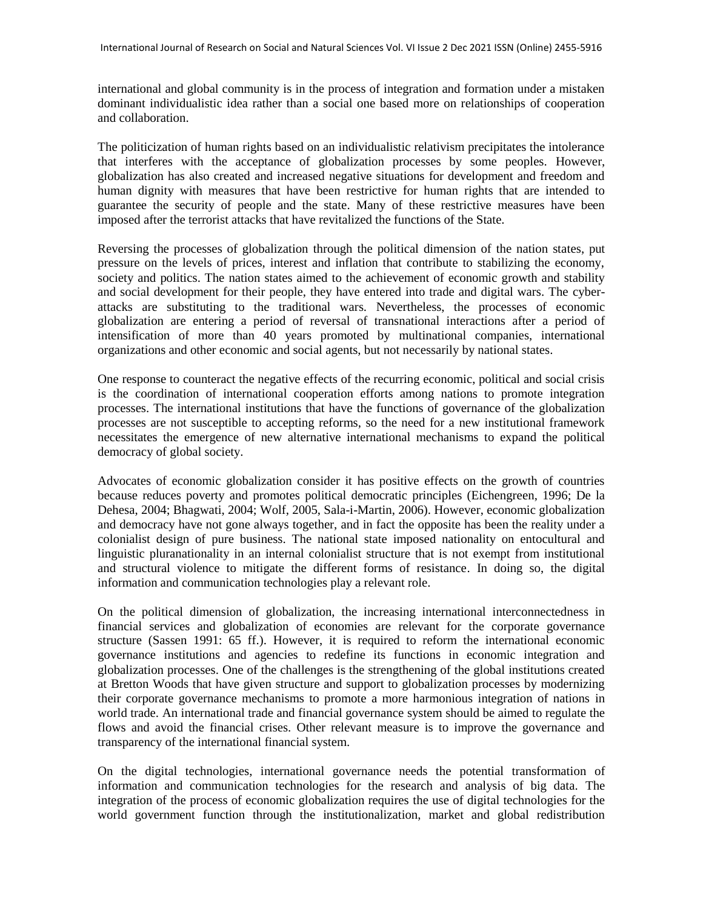international and global community is in the process of integration and formation under a mistaken dominant individualistic idea rather than a social one based more on relationships of cooperation and collaboration.

The politicization of human rights based on an individualistic relativism precipitates the intolerance that interferes with the acceptance of globalization processes by some peoples. However, globalization has also created and increased negative situations for development and freedom and human dignity with measures that have been restrictive for human rights that are intended to guarantee the security of people and the state. Many of these restrictive measures have been imposed after the terrorist attacks that have revitalized the functions of the State.

Reversing the processes of globalization through the political dimension of the nation states, put pressure on the levels of prices, interest and inflation that contribute to stabilizing the economy, society and politics. The nation states aimed to the achievement of economic growth and stability and social development for their people, they have entered into trade and digital wars. The cyberattacks are substituting to the traditional wars. Nevertheless, the processes of economic globalization are entering a period of reversal of transnational interactions after a period of intensification of more than 40 years promoted by multinational companies, international organizations and other economic and social agents, but not necessarily by national states.

One response to counteract the negative effects of the recurring economic, political and social crisis is the coordination of international cooperation efforts among nations to promote integration processes. The international institutions that have the functions of governance of the globalization processes are not susceptible to accepting reforms, so the need for a new institutional framework necessitates the emergence of new alternative international mechanisms to expand the political democracy of global society.

Advocates of economic globalization consider it has positive effects on the growth of countries because reduces poverty and promotes political democratic principles (Eichengreen, 1996; De la Dehesa, 2004; Bhagwati, 2004; Wolf, 2005, Sala-i-Martin, 2006). However, economic globalization and democracy have not gone always together, and in fact the opposite has been the reality under a colonialist design of pure business. The national state imposed nationality on entocultural and linguistic pluranationality in an internal colonialist structure that is not exempt from institutional and structural violence to mitigate the different forms of resistance. In doing so, the digital information and communication technologies play a relevant role.

On the political dimension of globalization, the increasing international interconnectedness in financial services and globalization of economies are relevant for the corporate governance structure (Sassen 1991: 65 ff.). However, it is required to reform the international economic governance institutions and agencies to redefine its functions in economic integration and globalization processes. One of the challenges is the strengthening of the global institutions created at Bretton Woods that have given structure and support to globalization processes by modernizing their corporate governance mechanisms to promote a more harmonious integration of nations in world trade. An international trade and financial governance system should be aimed to regulate the flows and avoid the financial crises. Other relevant measure is to improve the governance and transparency of the international financial system.

On the digital technologies, international governance needs the potential transformation of information and communication technologies for the research and analysis of big data. The integration of the process of economic globalization requires the use of digital technologies for the world government function through the institutionalization, market and global redistribution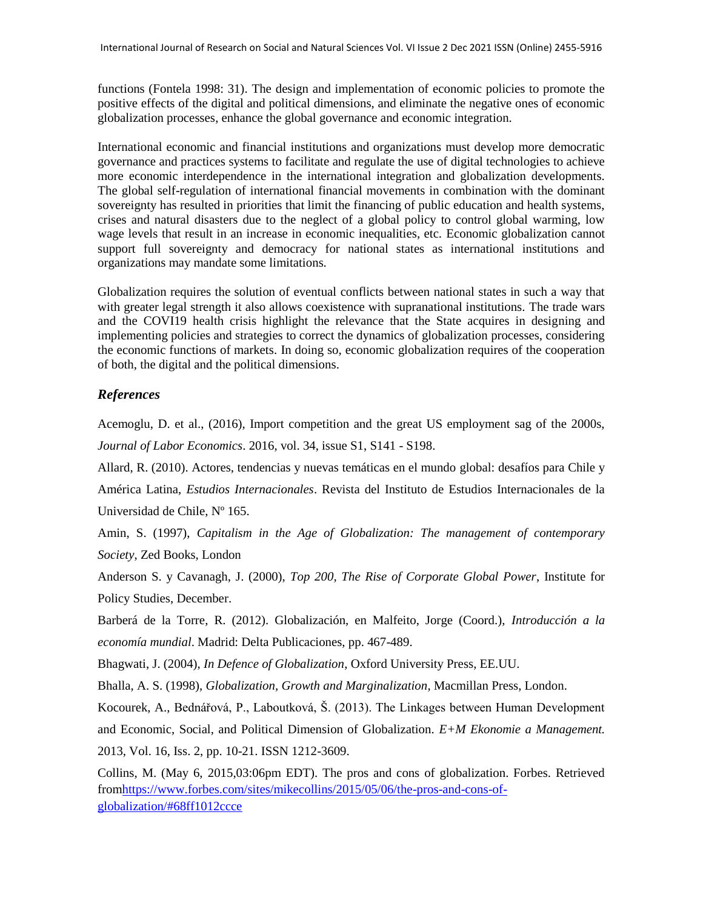functions (Fontela 1998: 31). The design and implementation of economic policies to promote the positive effects of the digital and political dimensions, and eliminate the negative ones of economic globalization processes, enhance the global governance and economic integration.

International economic and financial institutions and organizations must develop more democratic governance and practices systems to facilitate and regulate the use of digital technologies to achieve more economic interdependence in the international integration and globalization developments. The global self-regulation of international financial movements in combination with the dominant sovereignty has resulted in priorities that limit the financing of public education and health systems, crises and natural disasters due to the neglect of a global policy to control global warming, low wage levels that result in an increase in economic inequalities, etc. Economic globalization cannot support full sovereignty and democracy for national states as international institutions and organizations may mandate some limitations.

Globalization requires the solution of eventual conflicts between national states in such a way that with greater legal strength it also allows coexistence with supranational institutions. The trade wars and the COVI19 health crisis highlight the relevance that the State acquires in designing and implementing policies and strategies to correct the dynamics of globalization processes, considering the economic functions of markets. In doing so, economic globalization requires of the cooperation of both, the digital and the political dimensions.

# *References*

Acemoglu, D. et al., (2016), Import competition and the great US employment sag of the 2000s, *Journal of Labor Economics*. 2016, vol. 34, issue S1, S141 - S198.

Allard, R. (2010). Actores, tendencias y nuevas temáticas en el mundo global: desafíos para Chile y

América Latina, *Estudios Internacionales*. Revista del Instituto de Estudios Internacionales de la Universidad de Chile, Nº 165.

Amin, S. (1997), *Capitalism in the Age of Globalization: The management of contemporary Society*, Zed Books, London

Anderson S. y Cavanagh, J. (2000), *Top 200, The Rise of Corporate Global Power*, Institute for Policy Studies, December.

Barberá de la Torre, R. (2012). Globalización, en Malfeito, Jorge (Coord.), *Introducción a la economía mundial*. Madrid: Delta Publicaciones, pp. 467-489.

Bhagwati, J. (2004), *In Defence of Globalization*, Oxford University Press, EE.UU.

Bhalla, A. S. (1998), *Globalization, Growth and Marginalization*, Macmillan Press, London.

Kocourek, A., Bednářová, P., Laboutková, Š. (2013). The Linkages between Human Development and Economic, Social, and Political Dimension of Globalization. *E+M Ekonomie a Management.*  2013, Vol. 16, Iss. 2, pp. 10-21. ISSN 1212-3609.

Collins, M. (May 6, 2015,03:06pm EDT). The pros and cons of globalization. Forbes. Retrieved fro[mhttps://www.forbes.com/sites/mikecollins/2015/05/06/the-pros-and-cons-of](https://www.forbes.com/sites/mikecollins/2015/05/06/the-pros-and-cons-of-globalization/#68ff1012ccce)[globalization/#68ff1012ccce](https://www.forbes.com/sites/mikecollins/2015/05/06/the-pros-and-cons-of-globalization/#68ff1012ccce)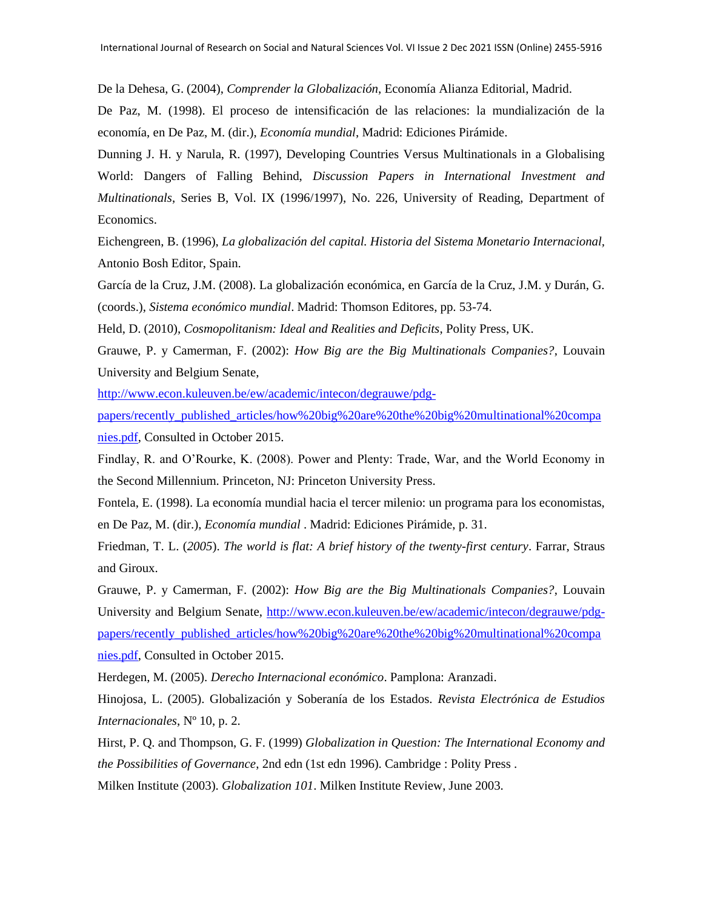De la Dehesa, G. (2004), *Comprender la Globalización*, Economía Alianza Editorial, Madrid.

De Paz, M. (1998). El proceso de intensificación de las relaciones: la mundialización de la economía, en De Paz, M. (dir.), *Economía mundial*, Madrid: Ediciones Pirámide.

Dunning J. H. y Narula, R. (1997), Developing Countries Versus Multinationals in a Globalising World: Dangers of Falling Behind, *Discussion Papers in International Investment and Multinationals*, Series B, Vol. IX (1996/1997), No. 226, University of Reading, Department of Economics.

Eichengreen, B. (1996), *La globalización del capital. Historia del Sistema Monetario Internacional,* Antonio Bosh Editor, Spain.

García de la Cruz, J.M. (2008). La globalización económica, en García de la Cruz, J.M. y Durán, G. (coords.), *Sistema económico mundial*. Madrid: Thomson Editores, pp. 53-74.

Held, D. (2010), *Cosmopolitanism: Ideal and Realities and Deficits*, Polity Press, UK.

Grauwe, P. y Camerman, F. (2002): *How Big are the Big Multinationals Companies?*, Louvain University and Belgium Senate,

[http://www.econ.kuleuven.be/ew/academic/intecon/degrauwe/pdg-](http://www.econ.kuleuven.be/ew/academic/intecon/degrauwe/pdg-papers/recently_published_articles/how%20big%20are%20the%20big%20multinational%20companies.pdf)

[papers/recently\\_published\\_articles/how%20big%20are%20the%20big%20multinational%20compa](http://www.econ.kuleuven.be/ew/academic/intecon/degrauwe/pdg-papers/recently_published_articles/how%20big%20are%20the%20big%20multinational%20companies.pdf) [nies.pdf,](http://www.econ.kuleuven.be/ew/academic/intecon/degrauwe/pdg-papers/recently_published_articles/how%20big%20are%20the%20big%20multinational%20companies.pdf) Consulted in October 2015.

Findlay, R. and O'Rourke, K. (2008). Power and Plenty: Trade, War, and the World Economy in the Second Millennium. Princeton, NJ: Princeton University Press.

Fontela, E. (1998). La economía mundial hacia el tercer milenio: un programa para los economistas, en De Paz, M. (dir.), *Economía mundial* . Madrid: Ediciones Pirámide, p. 31.

Friedman*,* T. L. (*2005*). *The world is flat: A brief history of the twenty-first century*. Farrar, Straus and Giroux.

Grauwe, P. y Camerman, F. (2002): *How Big are the Big Multinationals Companies?*, Louvain University and Belgium Senate, [http://www.econ.kuleuven.be/ew/academic/intecon/degrauwe/pdg](http://www.econ.kuleuven.be/ew/academic/intecon/degrauwe/pdg-papers/recently_published_articles/how%20big%20are%20the%20big%20multinational%20companies.pdf)[papers/recently\\_published\\_articles/how%20big%20are%20the%20big%20multinational%20compa](http://www.econ.kuleuven.be/ew/academic/intecon/degrauwe/pdg-papers/recently_published_articles/how%20big%20are%20the%20big%20multinational%20companies.pdf) [nies.pdf,](http://www.econ.kuleuven.be/ew/academic/intecon/degrauwe/pdg-papers/recently_published_articles/how%20big%20are%20the%20big%20multinational%20companies.pdf) Consulted in October 2015.

Herdegen, M. (2005). *Derecho Internacional económico*. Pamplona: Aranzadi.

Hinojosa, L. (2005). Globalización y Soberanía de los Estados. *Revista Electrónica de Estudios Internacionales*, Nº 10, p. 2.

Hirst, P. Q. and Thompson, G. F. (1999) *Globalization in Question: The International Economy and the Possibilities of Governance*, 2nd edn (1st edn 1996). Cambridge : Polity Press .

Milken Institute (2003). *Globalization 101*. Milken Institute Review, June 2003.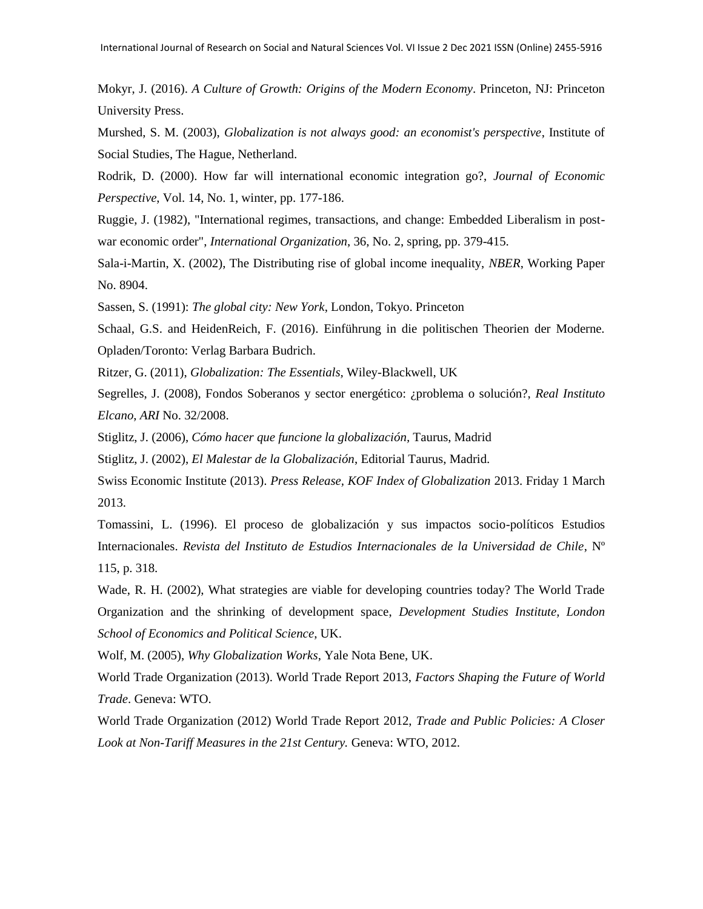Mokyr, J. (2016). *A Culture of Growth: Origins of the Modern Economy*. Princeton, NJ: Princeton University Press.

Murshed, S. M. (2003), *Globalization is not always good: an economist's perspective*, Institute of Social Studies, The Hague, Netherland.

Rodrik, D. (2000). How far will international economic integration go?, *Journal of Economic Perspective*, Vol. 14, No. 1, winter, pp. 177-186.

Ruggie, J. (1982), "International regimes, transactions, and change: Embedded Liberalism in postwar economic order", *International Organization*, 36, No. 2, spring, pp. 379-415.

Sala-i-Martin, X. (2002), The Distributing rise of global income inequality, *NBER*, Working Paper No. 8904.

Sassen, S. (1991): *The global city: New York*, London, Tokyo. Princeton

Schaal, G.S. and HeidenReich, F. (2016). Einführung in die politischen Theorien der Moderne. Opladen/Toronto: Verlag Barbara Budrich.

Ritzer, G. (2011), *Globalization: The Essentials,* Wiley-Blackwell, UK

Segrelles, J. (2008), Fondos Soberanos y sector energético: ¿problema o solución?, *Real Instituto Elcano*, *ARI* No. 32/2008.

Stiglitz, J. (2006), *Cómo hacer que funcione la globalización,* Taurus, Madrid

Stiglitz, J. (2002), *El Malestar de la Globalización*, Editorial Taurus, Madrid.

Swiss Economic Institute (2013). *Press Release, KOF Index of Globalization* 2013. Friday 1 March 2013.

Tomassini, L. (1996). El proceso de globalización y sus impactos socio-políticos Estudios Internacionales. *Revista del Instituto de Estudios Internacionales de la Universidad de Chile*, Nº 115, p. 318.

Wade, R. H. (2002), What strategies are viable for developing countries today? The World Trade Organization and the shrinking of development space, *Development Studies Institute, London School of Economics and Political Science*, UK.

Wolf, M. (2005), *Why Globalization Works*, Yale Nota Bene, UK.

World Trade Organization (2013). World Trade Report 2013, *Factors Shaping the Future of World Trade*. Geneva: WTO.

World Trade Organization (2012) World Trade Report 2012, *Trade and Public Policies: A Closer Look at Non-Tariff Measures in the 21st Century.* Geneva: WTO, 2012.